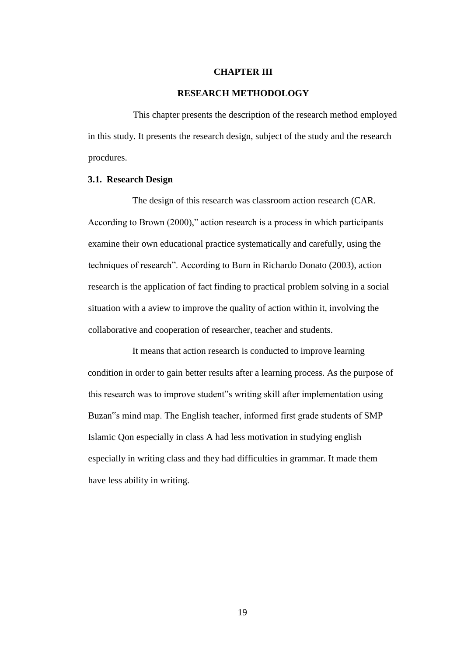#### **CHAPTER III**

#### **RESEARCH METHODOLOGY**

This chapter presents the description of the research method employed in this study. It presents the research design, subject of the study and the research procdures.

### **3.1. Research Design**

The design of this research was classroom action research (CAR. According to Brown (2000)," action research is a process in which participants examine their own educational practice systematically and carefully, using the techniques of research". According to Burn in Richardo Donato (2003), action research is the application of fact finding to practical problem solving in a social situation with a aview to improve the quality of action within it, involving the collaborative and cooperation of researcher, teacher and students.

It means that action research is conducted to improve learning condition in order to gain better results after a learning process. As the purpose of this research was to improve student"s writing skill after implementation using Buzan"s mind map. The English teacher, informed first grade students of SMP Islamic Qon especially in class A had less motivation in studying english especially in writing class and they had difficulties in grammar. It made them have less ability in writing.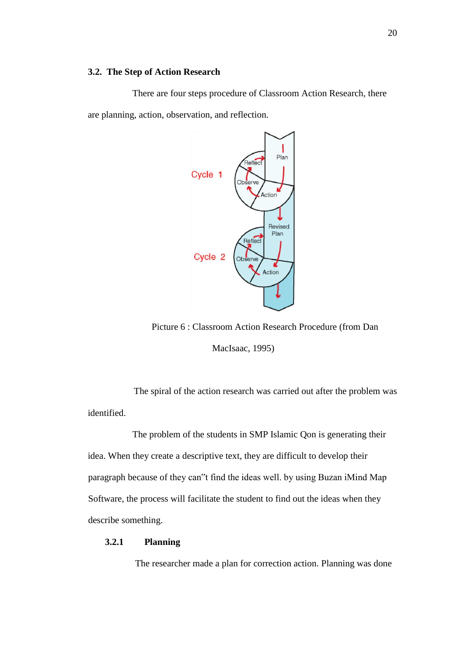#### **3.2. The Step of Action Research**

There are four steps procedure of Classroom Action Research, there are planning, action, observation, and reflection.



Picture 6 : Classroom Action Research Procedure (from Dan

MacIsaac, 1995)

The spiral of the action research was carried out after the problem was identified.

The problem of the students in SMP Islamic Qon is generating their idea. When they create a descriptive text, they are difficult to develop their paragraph because of they can"t find the ideas well. by using Buzan iMind Map Software, the process will facilitate the student to find out the ideas when they describe something.

# **3.2.1 Planning**

The researcher made a plan for correction action. Planning was done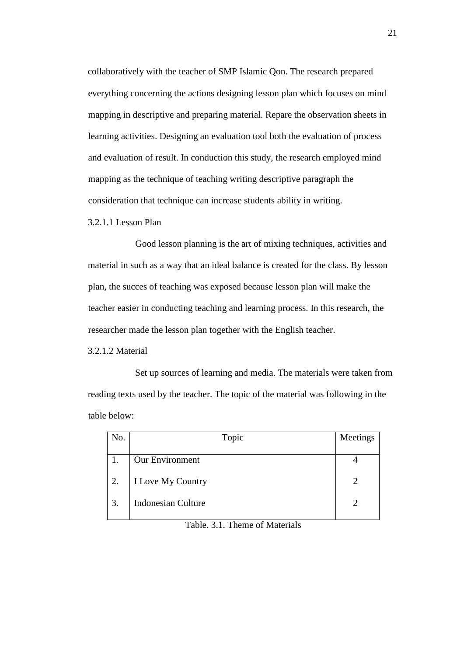collaboratively with the teacher of SMP Islamic Qon. The research prepared everything concerning the actions designing lesson plan which focuses on mind mapping in descriptive and preparing material. Repare the observation sheets in learning activities. Designing an evaluation tool both the evaluation of process and evaluation of result. In conduction this study, the research employed mind mapping as the technique of teaching writing descriptive paragraph the consideration that technique can increase students ability in writing.

3.2.1.1 Lesson Plan

Good lesson planning is the art of mixing techniques, activities and material in such as a way that an ideal balance is created for the class. By lesson plan, the succes of teaching was exposed because lesson plan will make the teacher easier in conducting teaching and learning process. In this research, the researcher made the lesson plan together with the English teacher.

3.2.1.2 Material

Set up sources of learning and media. The materials were taken from reading texts used by the teacher. The topic of the material was following in the table below:

| No. | Topic                     | Meetings |
|-----|---------------------------|----------|
|     |                           |          |
|     | Our Environment           |          |
| 2.  | I Love My Country         |          |
| 3.  | <b>Indonesian Culture</b> | ി        |
|     |                           |          |

Table. 3.1. Theme of Materials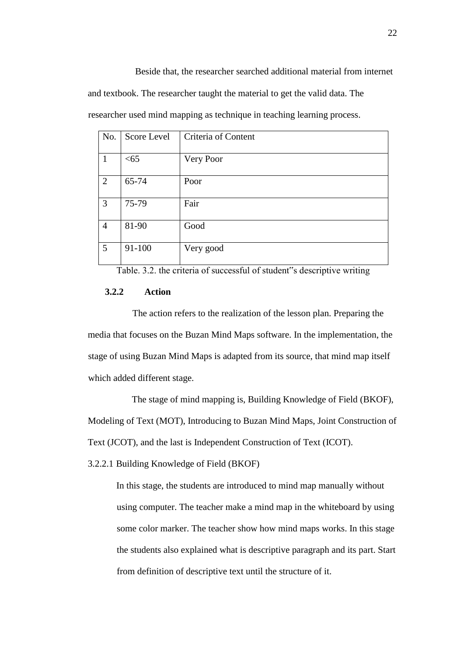Beside that, the researcher searched additional material from internet and textbook. The researcher taught the material to get the valid data. The researcher used mind mapping as technique in teaching learning process.

| No.            | Score Level | Criteria of Content |
|----------------|-------------|---------------------|
| $\mathbf{1}$   | < 65        | Very Poor           |
| $\overline{2}$ | 65-74       | Poor                |
| 3              | 75-79       | Fair                |
| $\overline{4}$ | 81-90       | Good                |
| 5              | 91-100      | Very good           |

Table. 3.2. the criteria of successful of student"s descriptive writing

### **3.2.2 Action**

The action refers to the realization of the lesson plan. Preparing the media that focuses on the Buzan Mind Maps software. In the implementation, the stage of using Buzan Mind Maps is adapted from its source, that mind map itself which added different stage.

The stage of mind mapping is, Building Knowledge of Field (BKOF), Modeling of Text (MOT), Introducing to Buzan Mind Maps, Joint Construction of Text (JCOT), and the last is Independent Construction of Text (ICOT).

3.2.2.1 Building Knowledge of Field (BKOF)

In this stage, the students are introduced to mind map manually without using computer. The teacher make a mind map in the whiteboard by using some color marker. The teacher show how mind maps works. In this stage the students also explained what is descriptive paragraph and its part. Start from definition of descriptive text until the structure of it.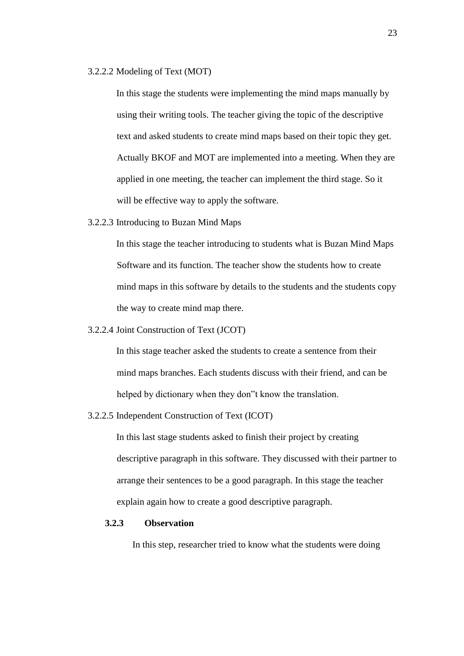#### 3.2.2.2 Modeling of Text (MOT)

In this stage the students were implementing the mind maps manually by using their writing tools. The teacher giving the topic of the descriptive text and asked students to create mind maps based on their topic they get. Actually BKOF and MOT are implemented into a meeting. When they are applied in one meeting, the teacher can implement the third stage. So it will be effective way to apply the software.

3.2.2.3 Introducing to Buzan Mind Maps

In this stage the teacher introducing to students what is Buzan Mind Maps Software and its function. The teacher show the students how to create mind maps in this software by details to the students and the students copy the way to create mind map there.

3.2.2.4 Joint Construction of Text (JCOT)

In this stage teacher asked the students to create a sentence from their mind maps branches. Each students discuss with their friend, and can be helped by dictionary when they don"t know the translation.

3.2.2.5 Independent Construction of Text (ICOT)

In this last stage students asked to finish their project by creating descriptive paragraph in this software. They discussed with their partner to arrange their sentences to be a good paragraph. In this stage the teacher explain again how to create a good descriptive paragraph.

# **3.2.3 Observation**

In this step, researcher tried to know what the students were doing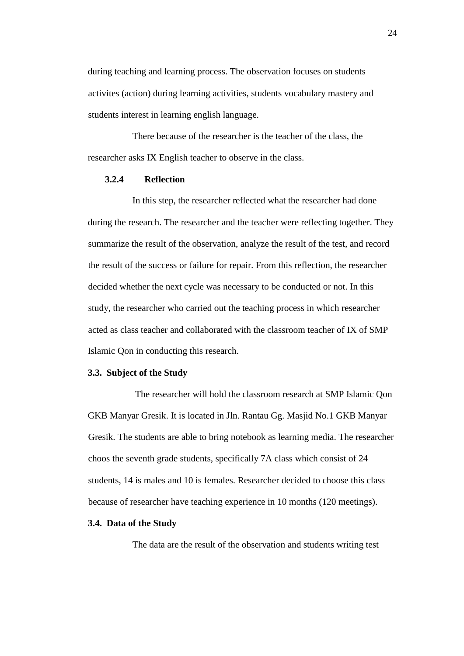during teaching and learning process. The observation focuses on students activites (action) during learning activities, students vocabulary mastery and students interest in learning english language.

There because of the researcher is the teacher of the class, the researcher asks IX English teacher to observe in the class.

# **3.2.4 Reflection**

In this step, the researcher reflected what the researcher had done during the research. The researcher and the teacher were reflecting together. They summarize the result of the observation, analyze the result of the test, and record the result of the success or failure for repair. From this reflection, the researcher decided whether the next cycle was necessary to be conducted or not. In this study, the researcher who carried out the teaching process in which researcher acted as class teacher and collaborated with the classroom teacher of IX of SMP Islamic Qon in conducting this research.

## **3.3. Subject of the Study**

The researcher will hold the classroom research at SMP Islamic Qon GKB Manyar Gresik. It is located in Jln. Rantau Gg. Masjid No.1 GKB Manyar Gresik. The students are able to bring notebook as learning media. The researcher choos the seventh grade students, specifically 7A class which consist of 24 students, 14 is males and 10 is females. Researcher decided to choose this class because of researcher have teaching experience in 10 months (120 meetings).

#### **3.4. Data of the Study**

The data are the result of the observation and students writing test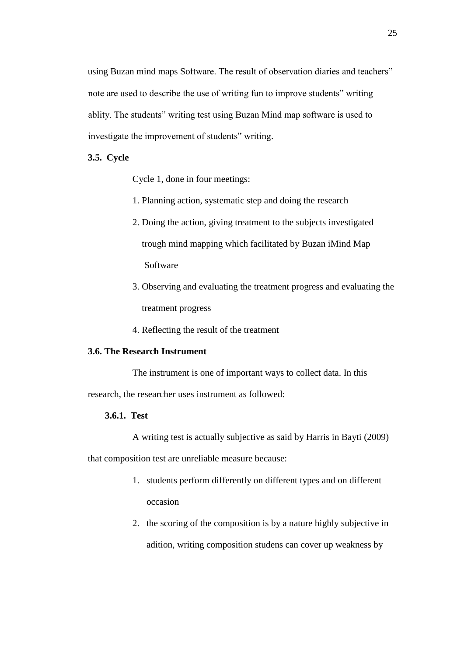using Buzan mind maps Software. The result of observation diaries and teachers" note are used to describe the use of writing fun to improve students" writing ablity. The students" writing test using Buzan Mind map software is used to investigate the improvement of students" writing.

# **3.5. Cycle**

Cycle 1, done in four meetings:

- 1. Planning action, systematic step and doing the research
- 2. Doing the action, giving treatment to the subjects investigated trough mind mapping which facilitated by Buzan iMind Map Software
- 3. Observing and evaluating the treatment progress and evaluating the treatment progress
- 4. Reflecting the result of the treatment

# **3.6. The Research Instrument**

The instrument is one of important ways to collect data. In this

research, the researcher uses instrument as followed:

## **3.6.1. Test**

A writing test is actually subjective as said by Harris in Bayti (2009)

that composition test are unreliable measure because:

- 1. students perform differently on different types and on different occasion
- 2. the scoring of the composition is by a nature highly subjective in adition, writing composition studens can cover up weakness by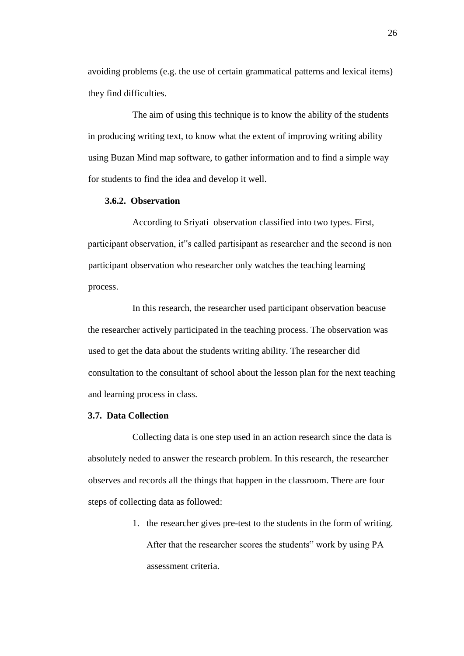avoiding problems (e.g. the use of certain grammatical patterns and lexical items) they find difficulties.

The aim of using this technique is to know the ability of the students in producing writing text, to know what the extent of improving writing ability using Buzan Mind map software, to gather information and to find a simple way for students to find the idea and develop it well.

## **3.6.2. Observation**

According to Sriyati observation classified into two types. First, participant observation, it"s called partisipant as researcher and the second is non participant observation who researcher only watches the teaching learning process.

In this research, the researcher used participant observation beacuse the researcher actively participated in the teaching process. The observation was used to get the data about the students writing ability. The researcher did consultation to the consultant of school about the lesson plan for the next teaching and learning process in class.

## **3.7. Data Collection**

Collecting data is one step used in an action research since the data is absolutely neded to answer the research problem. In this research, the researcher observes and records all the things that happen in the classroom. There are four steps of collecting data as followed:

> 1. the researcher gives pre-test to the students in the form of writing. After that the researcher scores the students" work by using PA assessment criteria.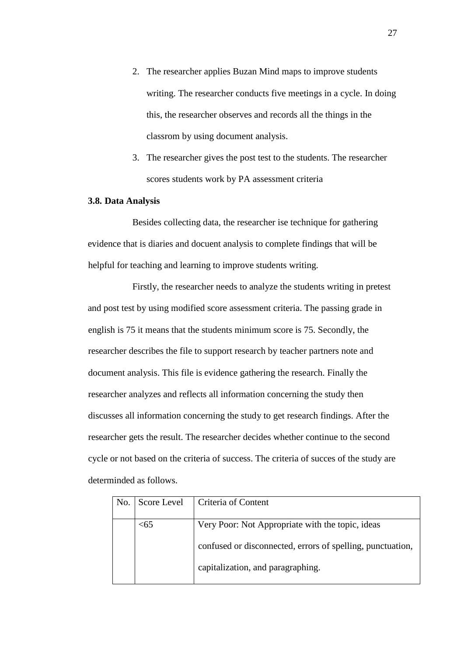- 2. The researcher applies Buzan Mind maps to improve students writing. The researcher conducts five meetings in a cycle. In doing this, the researcher observes and records all the things in the classrom by using document analysis.
- 3. The researcher gives the post test to the students. The researcher scores students work by PA assessment criteria

### **3.8. Data Analysis**

Besides collecting data, the researcher ise technique for gathering evidence that is diaries and docuent analysis to complete findings that will be helpful for teaching and learning to improve students writing.

Firstly, the researcher needs to analyze the students writing in pretest and post test by using modified score assessment criteria. The passing grade in english is 75 it means that the students minimum score is 75. Secondly, the researcher describes the file to support research by teacher partners note and document analysis. This file is evidence gathering the research. Finally the researcher analyzes and reflects all information concerning the study then discusses all information concerning the study to get research findings. After the researcher gets the result. The researcher decides whether continue to the second cycle or not based on the criteria of success. The criteria of succes of the study are determinded as follows.

| No. | Score Level | Criteria of Content                                        |
|-----|-------------|------------------------------------------------------------|
|     |             |                                                            |
|     | <65         | Very Poor: Not Appropriate with the topic, ideas           |
|     |             |                                                            |
|     |             | confused or disconnected, errors of spelling, punctuation, |
|     |             |                                                            |
|     |             | capitalization, and paragraphing.                          |
|     |             |                                                            |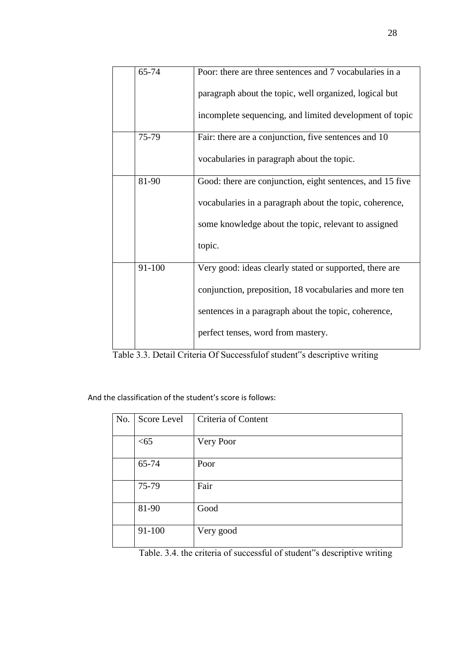| 65-74  | Poor: there are three sentences and 7 vocabularies in a   |
|--------|-----------------------------------------------------------|
|        | paragraph about the topic, well organized, logical but    |
|        | incomplete sequencing, and limited development of topic   |
| 75-79  | Fair: there are a conjunction, five sentences and 10      |
|        | vocabularies in paragraph about the topic.                |
| 81-90  | Good: there are conjunction, eight sentences, and 15 five |
|        | vocabularies in a paragraph about the topic, coherence,   |
|        | some knowledge about the topic, relevant to assigned      |
|        | topic.                                                    |
| 91-100 | Very good: ideas clearly stated or supported, there are   |
|        | conjunction, preposition, 18 vocabularies and more ten    |
|        | sentences in a paragraph about the topic, coherence,      |
|        | perfect tenses, word from mastery.                        |

Table 3.3. Detail Criteria Of Successfulof student"s descriptive writing

And the classification of the student's score is follows:

| No. | Score Level | Criteria of Content |
|-----|-------------|---------------------|
|     | < 65        | Very Poor           |
|     | 65-74       | Poor                |
|     | 75-79       | Fair                |
|     | 81-90       | Good                |
|     | 91-100      | Very good           |

Table. 3.4. the criteria of successful of student"s descriptive writing